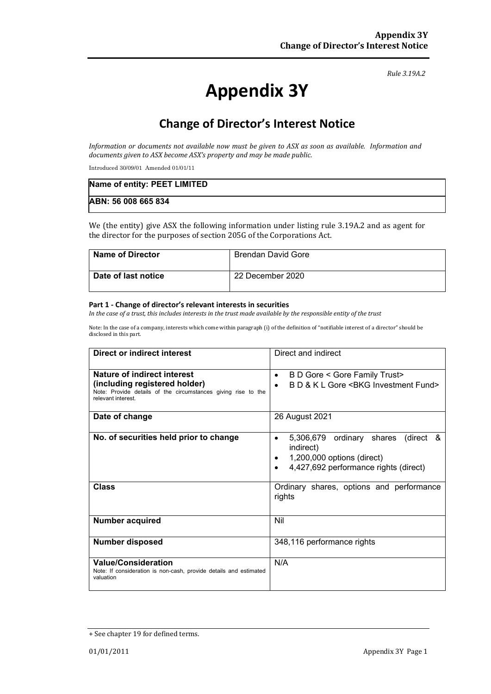#### *Rule 3.19A.2*

# **Appendix 3Y**

# **Change of Director's Interest Notice**

*Information or documents not available now must be given to ASX as soon as available. Information and documents given to ASX become ASX's property and may be made public.*

Introduced 30/09/01 Amended 01/01/11

| Name of entity: PEET LIMITED |  |
|------------------------------|--|
| ABN: 56 008 665 834          |  |

We (the entity) give ASX the following information under listing rule 3.19A.2 and as agent for the director for the purposes of section 205G of the Corporations Act.

| <b>Name of Director</b> | <b>Brendan David Gore</b> |
|-------------------------|---------------------------|
| Date of last notice     | 22 December 2020          |

#### **Part 1 - Change of director's relevant interests in securities**

*In the case of a trust, this includes interests in the trust made available by the responsible entity of the trust*

Note: In the case of a company, interests which come within paragraph (i) of the definition of "notifiable interest of a director" should be disclosed in this part.

| Direct or indirect interest                                                                                          | Direct and indirect                                                                                                                       |  |
|----------------------------------------------------------------------------------------------------------------------|-------------------------------------------------------------------------------------------------------------------------------------------|--|
| Nature of indirect interest                                                                                          | B D Gore < Gore Family Trust><br>$\bullet$                                                                                                |  |
| (including registered holder)<br>Note: Provide details of the circumstances giving rise to the<br>relevant interest. | B D & K L Gore < BKG Investment Fund><br>$\bullet$                                                                                        |  |
| Date of change                                                                                                       | 26 August 2021                                                                                                                            |  |
| No. of securities held prior to change                                                                               | 5,306,679 ordinary shares (direct &<br>٠<br>indirect)<br>1,200,000 options (direct)<br>4,427,692 performance rights (direct)<br>$\bullet$ |  |
| <b>Class</b>                                                                                                         | Ordinary shares, options and performance<br>rights                                                                                        |  |
| <b>Number acquired</b>                                                                                               | Nil                                                                                                                                       |  |
| <b>Number disposed</b>                                                                                               | 348,116 performance rights                                                                                                                |  |
| <b>Value/Consideration</b><br>Note: If consideration is non-cash, provide details and estimated<br>valuation         | N/A                                                                                                                                       |  |

<sup>+</sup> See chapter 19 for defined terms.